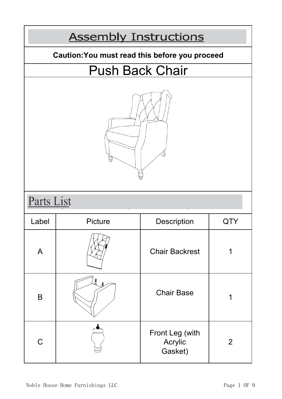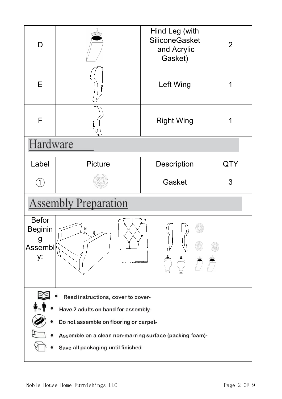| D                                                                  | ≫                                                                                                 | Hind Leg (with<br><b>SiliconeGasket</b><br>and Acrylic | $\overline{2}$ |
|--------------------------------------------------------------------|---------------------------------------------------------------------------------------------------|--------------------------------------------------------|----------------|
|                                                                    |                                                                                                   | Gasket)                                                |                |
| E                                                                  |                                                                                                   | Left Wing                                              |                |
| F                                                                  |                                                                                                   | <b>Right Wing</b>                                      |                |
| Hardware                                                           |                                                                                                   |                                                        |                |
| Label                                                              | Picture                                                                                           | Description                                            | <b>QTY</b>     |
| $\begin{pmatrix} 1 \end{pmatrix}$                                  |                                                                                                   | Gasket                                                 | 3              |
|                                                                    | <b>Assembly Preparation</b>                                                                       |                                                        |                |
| <b>Befor</b><br><b>Beginin</b><br>g<br>Assembl<br>y:<br>. <i>.</i> |                                                                                                   |                                                        |                |
|                                                                    | Read instructions, cover to cover-                                                                |                                                        |                |
| Have 2 adults on hand for assembly-                                |                                                                                                   |                                                        |                |
|                                                                    | Do not assemble on flooring or carpet-<br>Assemble on a clean non-marring surface (packing foam)- |                                                        |                |
|                                                                    |                                                                                                   |                                                        |                |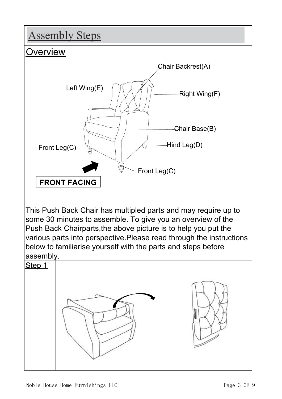## **Assembly Steps Overview** Chair Backrest(A) Left Wing(E)  $A \wedge B$  Right Wing(F) Chair Base(B) Hind Leg(D) Front Leg(C) Front Leg(C) **FRONT FACING** This Push Back Chair has multipled parts and may require up to some 30 minutes to assemble. To give you an overview of the Push Back Chairparts,the above picture is to help you put the various parts into perspective.Please read through the instructions below to familiarise yourself with the parts and steps before assembly. Step 1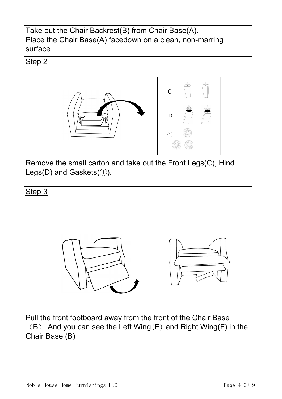Take out the Chair Backrest(B) from Chair Base(A). Place the Chair Base(A) facedown on a clean, non-marring surface.

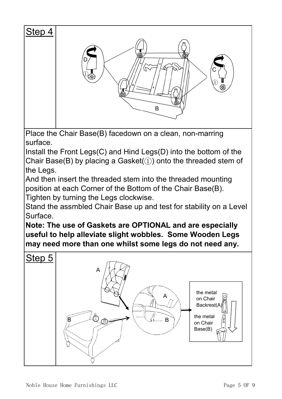

Place the Chair Base(B) facedown on a clean, non-marring surface.

Install the Front Legs(C) and Hind Legs(D) into the bottom of the Chair Base(B) by placing a Gasket( $(i)$ ) onto the threaded stem of the Legs.

And then insert the threaded stem into the threaded mounting position at each Corner of the Bottom of the Chair Base(B). Tighten by turning the Legs clockwise.

Stand the assmbled Chair Base up and test for stability on a Level Surface.

**Note: The use of Gaskets are OPTIONAL and are especially useful to help alleviate slight wobbles. Some Wooden Legs may need more than one whilst some legs do not need any.**

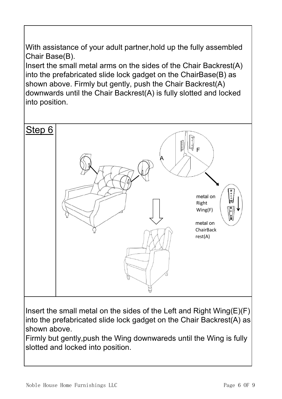With assistance of your adult partner,hold up the fully assembled Chair Base(B).

Insert the small metal arms on the sides of the Chair Backrest(A) into the prefabricated slide lock gadget on the ChairBase(B) as shown above. Firmly but gently, push the Chair Backrest(A) downwards until the Chair Backrest(A) is fully slotted and locked into position.



Insert the small metal on the sides of the Left and Right Wing $(E)(F)$ into the prefabricated slide lock gadget on the Chair Backrest(A) as shown above.

Firmly but gently,push the Wing downwareds until the Wing is fully slotted and locked into position.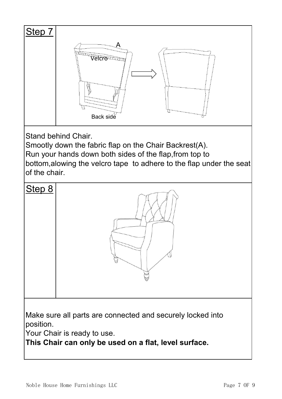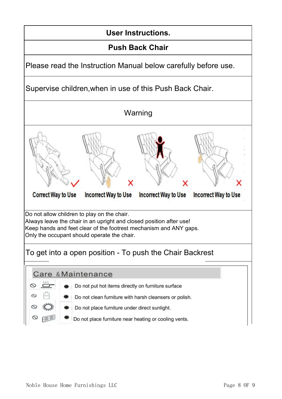